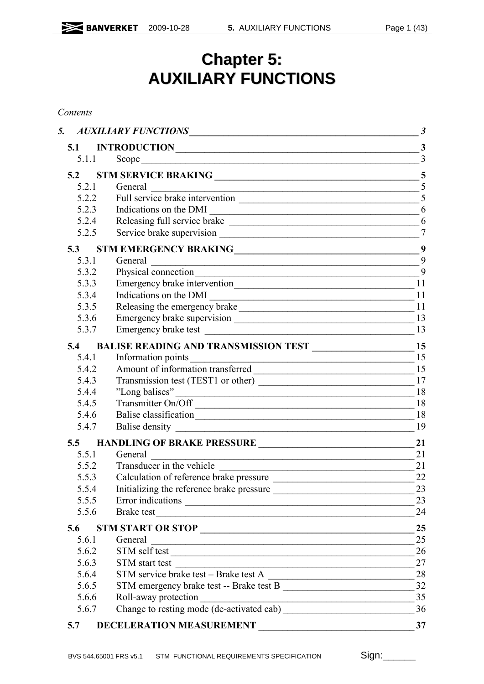# **Chapter 5: AUXILIARY FUNCTIONS**

| Contents |
|----------|
|----------|

|       | 5. AUXILIARY FUNCTIONS                                                                                                                                                                                                         | $\mathfrak{Z}$  |
|-------|--------------------------------------------------------------------------------------------------------------------------------------------------------------------------------------------------------------------------------|-----------------|
|       | 5.1 INTRODUCTION 3                                                                                                                                                                                                             |                 |
| 5.1.1 |                                                                                                                                                                                                                                | 3               |
| 5.2   |                                                                                                                                                                                                                                |                 |
| 5.2.1 | $\frac{1}{\sqrt{1-\frac{1}{2}}\left(\frac{1}{2}-\frac{1}{2}\right)}=5$<br>General                                                                                                                                              |                 |
| 5.2.2 |                                                                                                                                                                                                                                |                 |
| 5.2.3 | Indications on the DMI                                                                                                                                                                                                         | 6               |
| 5.2.4 |                                                                                                                                                                                                                                |                 |
| 5.2.5 |                                                                                                                                                                                                                                | $\overline{7}$  |
| 5.3   | STM EMERGENCY BRAKING<br>9                                                                                                                                                                                                     |                 |
| 5.3.1 | General<br><u> 1989 - Johann John Stein, mars ar yw i ganrif yn y brenin y brenin y brenin y brenin y brenin y brenin y bre</u>                                                                                                | 9               |
| 5.3.2 | Physical connection                                                                                                                                                                                                            | 9               |
| 5.3.3 |                                                                                                                                                                                                                                |                 |
| 5.3.4 | Indications on the DMI                                                                                                                                                                                                         |                 |
| 5.3.5 |                                                                                                                                                                                                                                | 11              |
| 5.3.6 |                                                                                                                                                                                                                                |                 |
| 5.3.7 |                                                                                                                                                                                                                                |                 |
| 5.4   |                                                                                                                                                                                                                                | 15              |
| 5.4.1 | Information points                                                                                                                                                                                                             | 15              |
| 5.4.2 |                                                                                                                                                                                                                                |                 |
| 5.4.3 |                                                                                                                                                                                                                                | 17              |
| 5.4.4 | "Long balises"<br>$\frac{18}{100}$                                                                                                                                                                                             |                 |
| 5.4.5 | Transmitter On/Off                                                                                                                                                                                                             | 18              |
| 5.4.6 |                                                                                                                                                                                                                                | 18              |
| 5.4.7 |                                                                                                                                                                                                                                | 19              |
| 5.5   |                                                                                                                                                                                                                                | 21              |
| 5.5.1 | General<br><u> 1980 - Andrea Andrew Maria (h. 1980).</u>                                                                                                                                                                       | 21              |
| 5.5.2 | Transducer in the vehicle                                                                                                                                                                                                      | 21              |
| 5.5.3 |                                                                                                                                                                                                                                | 22              |
| 5.5.4 |                                                                                                                                                                                                                                | $\overline{23}$ |
| 5.5.5 |                                                                                                                                                                                                                                | 23              |
| 5.5.6 |                                                                                                                                                                                                                                | 24              |
| 5.6   |                                                                                                                                                                                                                                | 25              |
| 5.6.1 | General Contract Contract Contract Contract Contract Contract Contract Contract Contract Contract Contract Contract Contract Contract Contract Contract Contract Contract Contract Contract Contract Contract Contract Contrac | 25              |
| 5.6.2 |                                                                                                                                                                                                                                | 26              |
| 5.6.3 |                                                                                                                                                                                                                                | 27              |
| 5.6.4 | STM service brake test - Brake test A                                                                                                                                                                                          | 28              |
| 5.6.5 | STM emergency brake test -- Brake test B                                                                                                                                                                                       | 32              |
| 5.6.6 | Roll-away protection<br>Roll-away protection<br>Change to resting mode (de-activated cab)                                                                                                                                      | 35              |
| 5.6.7 |                                                                                                                                                                                                                                | 36              |
| 5.7   | DECELERATION MEASUREMENT                                                                                                                                                                                                       | 37              |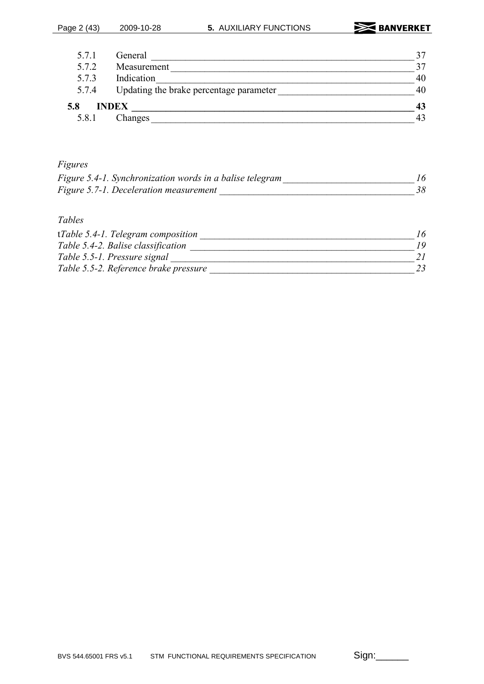| $Page \angle$<br>(43) | -10-28<br>2009- | <b>AUXILIARY FUNCTIONS</b> | <b>J BANVERKET</b> |
|-----------------------|-----------------|----------------------------|--------------------|
|                       |                 |                            |                    |

| 5.7.1 | General                                 | 37 |
|-------|-----------------------------------------|----|
| 5.7.2 | Measurement                             | 37 |
| 5.7.3 | Indication                              | 40 |
| 5.7.4 | Updating the brake percentage parameter | 40 |
| 5.8   | <b>INDEX</b>                            | 43 |
| 5.8.1 | Changes                                 | 43 |

# *Figures*

| Figure 5.4-1. Synchronization words in a balise telegram |  |
|----------------------------------------------------------|--|
| Figure 5.7-1. Deceleration measurement                   |  |

### *Tables*

| tTable 5.4-1. Telegram composition    | 16 |
|---------------------------------------|----|
| Table 5.4-2. Balise classification    |    |
| Table 5.5-1. Pressure signal          |    |
| Table 5.5-2. Reference brake pressure |    |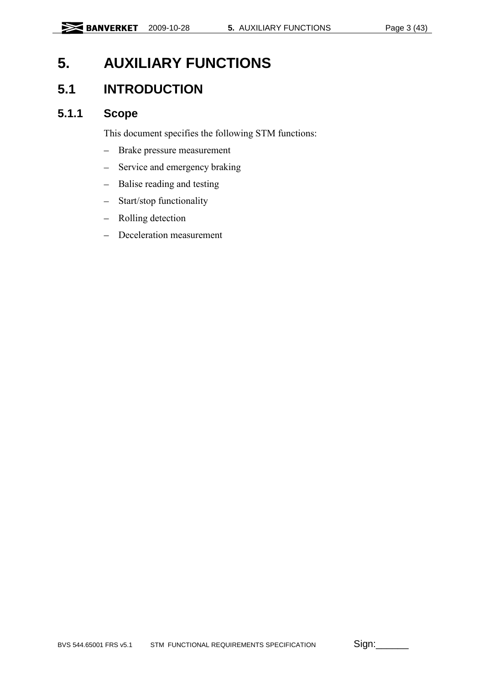# <span id="page-2-0"></span>**5. AUXILIARY FUNCTIONS**

# <span id="page-2-1"></span>**5.1 INTRODUCTION**

# <span id="page-2-2"></span>**5.1.1 Scope**

This document specifies the following STM functions:

- Brake pressure measurement
- Service and emergency braking
- Balise reading and testing
- Start/stop functionality
- Rolling detection
- Deceleration measurement

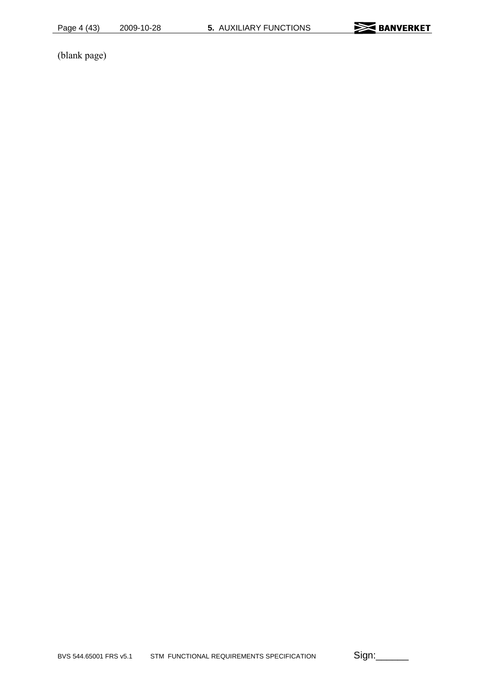

(blank page)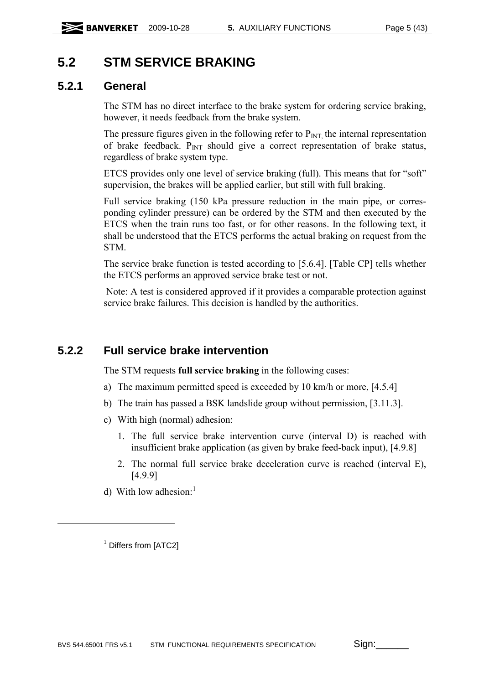# <span id="page-4-0"></span>**5.2 STM SERVICE BRAKING**

## <span id="page-4-1"></span>**5.2.1 General**

The STM has no direct interface to the brake system for ordering service braking, however, it needs feedback from the brake system.

The pressure figures given in the following refer to  $P_{\text{INT}}$  the internal representation of brake feedback.  $P_{INT}$  should give a correct representation of brake status, regardless of brake system type.

ETCS provides only one level of service braking (full). This means that for "soft" supervision, the brakes will be applied earlier, but still with full braking.

Full service braking (150 kPa pressure reduction in the main pipe, or corresponding cylinder pressure) can be ordered by the STM and then executed by the ETCS when the train runs too fast, or for other reasons. In the following text, it shall be understood that the ETCS performs the actual braking on request from the STM.

The service brake function is tested according to [5.6.4]. [Table CP] tells whether the ETCS performs an approved service brake test or not.

Note: A test is considered approved if it provides a comparable protection against service brake failures. This decision is handled by the authorities.

## <span id="page-4-2"></span>**5.2.2 Full service brake intervention**

The STM requests **full service braking** in the following cases:

- a) The maximum permitted speed is exceeded by 10 km/h or more, [4.5.4]
- b) The train has passed a BSK landslide group without permission, [3.11.3].
- c) With high (normal) adhesion:
	- 1. The full service brake intervention curve (interval D) is reached with insufficient brake application (as given by brake feed-back input), [4.9.8]
	- 2. The normal full service brake deceleration curve is reached (interval E), [4.9.9]
- d) With low adhesion: $<sup>1</sup>$ </sup>

<sup>1</sup> Differs from [ATC2]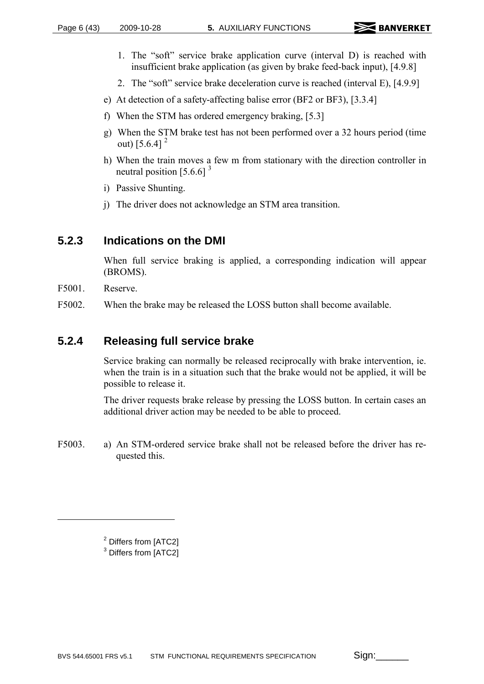- 1. The "soft" service brake application curve (interval D) is reached with insufficient brake application (as given by brake feed-back input), [4.9.8]
- 2. The "soft" service brake deceleration curve is reached (interval E), [4.9.9]
- e) At detection of a safety-affecting balise error (BF2 or BF3), [3.3.4]
- f) When the STM has ordered emergency braking, [5.3]
- g) When the STM brake test has not been performed over a 32 hours period (time out)  $[5.6.4]$ <sup>2</sup>
- h) When the train moves a few m from stationary with the direction controller in neutral position  $[5.6.6]$ <sup>3</sup>
- i) Passive Shunting.
- j) The driver does not acknowledge an STM area transition.

### <span id="page-5-0"></span>**5.2.3 Indications on the DMI**

When full service braking is applied, a corresponding indication will appear (BROMS).

F5001. Reserve.

 $\overline{a}$ 

F5002. When the brake may be released the LOSS button shall become available.

## <span id="page-5-1"></span>**5.2.4 Releasing full service brake**

Service braking can normally be released reciprocally with brake intervention, ie. when the train is in a situation such that the brake would not be applied, it will be possible to release it.

The driver requests brake release by pressing the LOSS button. In certain cases an additional driver action may be needed to be able to proceed.

F5003. a) An STM-ordered service brake shall not be released before the driver has requested this.

<sup>2</sup> Differs from [ATC2]

<sup>&</sup>lt;sup>3</sup> Differs from [ATC2]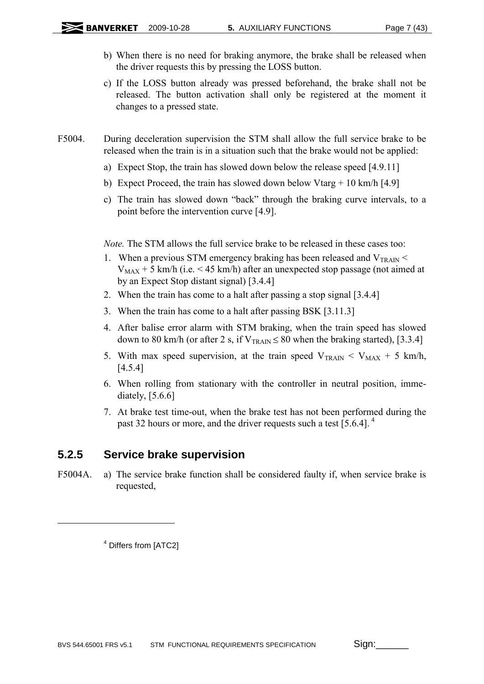- b) When there is no need for braking anymore, the brake shall be released when the driver requests this by pressing the LOSS button.
- c) If the LOSS button already was pressed beforehand, the brake shall not be released. The button activation shall only be registered at the moment it changes to a pressed state.
- F5004. During deceleration supervision the STM shall allow the full service brake to be released when the train is in a situation such that the brake would not be applied:
	- a) Expect Stop, the train has slowed down below the release speed [4.9.11]
	- b) Expect Proceed, the train has slowed down below Vtarg + 10 km/h [4.9]
	- c) The train has slowed down "back" through the braking curve intervals, to a point before the intervention curve [4.9].

*Note.* The STM allows the full service brake to be released in these cases too:

- 1. When a previous STM emergency braking has been released and  $V_{\text{TRAIN}}$  <  $V_{MAX}$  + 5 km/h (i.e.  $\leq$  45 km/h) after an unexpected stop passage (not aimed at by an Expect Stop distant signal) [3.4.4]
- 2. When the train has come to a halt after passing a stop signal [3.4.4]
- 3. When the train has come to a halt after passing BSK [3.11.3]
- 4. After balise error alarm with STM braking, when the train speed has slowed down to 80 km/h (or after 2 s, if  $V_{\text{TRAIN}} \leq 80$  when the braking started), [3.3.4]
- 5. With max speed supervision, at the train speed  $V_{\text{TRAIN}} < V_{\text{MAX}} + 5$  km/h, [4.5.4]
- 6. When rolling from stationary with the controller in neutral position, immediately, [5.6.6]
- 7. At brake test time-out, when the brake test has not been performed during the past 32 hours or more, and the driver requests such a test [5.6.4].<sup>4</sup>

## <span id="page-6-0"></span>**5.2.5 Service brake supervision**

F5004A. a) The service brake function shall be considered faulty if, when service brake is requested,

<sup>4</sup> Differs from [ATC2]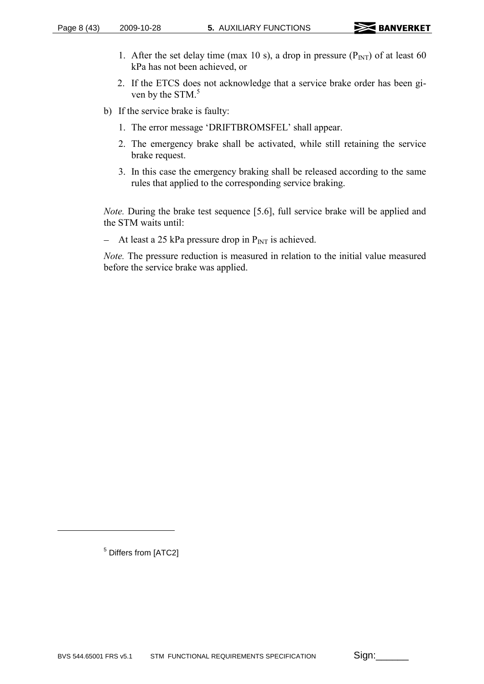- 1. After the set delay time (max 10 s), a drop in pressure ( $P_{INT}$ ) of at least 60 kPa has not been achieved, or
- 2. If the ETCS does not acknowledge that a service brake order has been given by the STM.<sup>5</sup>
- b) If the service brake is faulty:
	- 1. The error message "DRIFTBROMSFEL" shall appear.
	- 2. The emergency brake shall be activated, while still retaining the service brake request.
	- 3. In this case the emergency braking shall be released according to the same rules that applied to the corresponding service braking.

*Note.* During the brake test sequence [5.6], full service brake will be applied and the STM waits until:

- At least a 25 kPa pressure drop in  $P_{INT}$  is achieved.

*Note.* The pressure reduction is measured in relation to the initial value measured before the service brake was applied.

<sup>5</sup> Differs from [ATC2]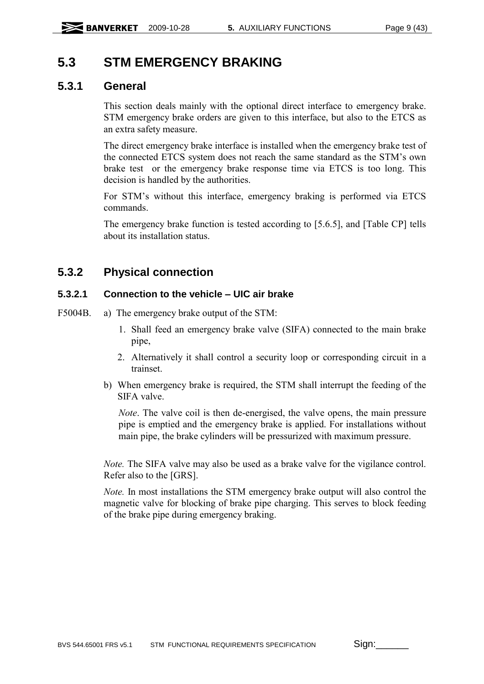# <span id="page-8-0"></span>**5.3 STM EMERGENCY BRAKING**

### <span id="page-8-1"></span>**5.3.1 General**

This section deals mainly with the optional direct interface to emergency brake. STM emergency brake orders are given to this interface, but also to the ETCS as an extra safety measure.

The direct emergency brake interface is installed when the emergency brake test of the connected ETCS system does not reach the same standard as the STM"s own brake test or the emergency brake response time via ETCS is too long. This decision is handled by the authorities.

For STM"s without this interface, emergency braking is performed via ETCS commands.

The emergency brake function is tested according to [5.6.5], and [Table CP] tells about its installation status.

# <span id="page-8-2"></span>**5.3.2 Physical connection**

#### **5.3.2.1 Connection to the vehicle – UIC air brake**

- F5004B. a) The emergency brake output of the STM:
	- 1. Shall feed an emergency brake valve (SIFA) connected to the main brake pipe,
	- 2. Alternatively it shall control a security loop or corresponding circuit in a trainset.
	- b) When emergency brake is required, the STM shall interrupt the feeding of the SIFA valve.

*Note*. The valve coil is then de-energised, the valve opens, the main pressure pipe is emptied and the emergency brake is applied. For installations without main pipe, the brake cylinders will be pressurized with maximum pressure.

*Note.* The SIFA valve may also be used as a brake valve for the vigilance control. Refer also to the [GRS].

*Note.* In most installations the STM emergency brake output will also control the magnetic valve for blocking of brake pipe charging. This serves to block feeding of the brake pipe during emergency braking.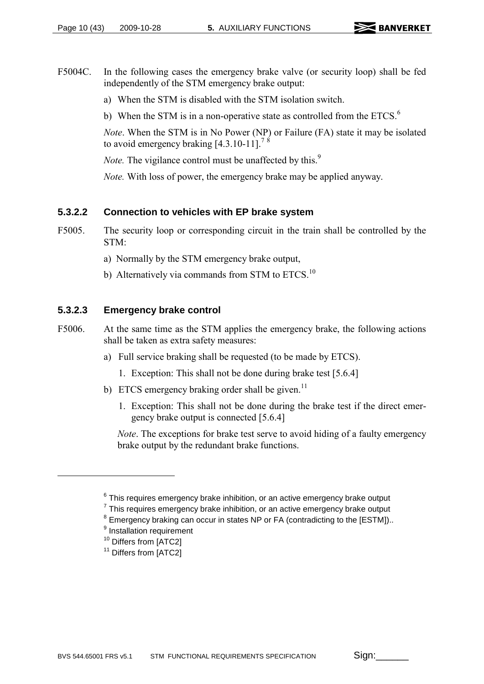**BANVERKET** 

- F5004C. In the following cases the emergency brake valve (or security loop) shall be fed independently of the STM emergency brake output:
	- a) When the STM is disabled with the STM isolation switch.
	- b) When the STM is in a non-operative state as controlled from the ETCS. $<sup>6</sup>$ </sup>

*Note*. When the STM is in No Power (NP) or Failure (FA) state it may be isolated to avoid emergency braking  $[4.3.10-11]$ .<sup>7</sup>

*Note.* The vigilance control must be unaffected by this.<sup>9</sup>

*Note.* With loss of power, the emergency brake may be applied anyway.

#### **5.3.2.2 Connection to vehicles with EP brake system**

- F5005. The security loop or corresponding circuit in the train shall be controlled by the STM:
	- a) Normally by the STM emergency brake output,
	- b) Alternatively via commands from STM to ETCS.<sup>10</sup>

#### **5.3.2.3 Emergency brake control**

- F5006. At the same time as the STM applies the emergency brake, the following actions shall be taken as extra safety measures:
	- a) Full service braking shall be requested (to be made by ETCS).
		- 1. Exception: This shall not be done during brake test [5.6.4]
	- b) ETCS emergency braking order shall be given.<sup>11</sup>
		- 1. Exception: This shall not be done during the brake test if the direct emergency brake output is connected [5.6.4]

*Note*. The exceptions for brake test serve to avoid hiding of a faulty emergency brake output by the redundant brake functions.

 $^6$  This requires emergency brake inhibition, or an active emergency brake output

 $\mathrm{^{7}}$  This requires emergency brake inhibition, or an active emergency brake output

 $^8$  Emergency braking can occur in states NP or FA (contradicting to the [ESTM])..

<sup>&</sup>lt;sup>9</sup> Installation requirement

<sup>&</sup>lt;sup>10</sup> Differs from [ATC2]

<sup>&</sup>lt;sup>11</sup> Differs from [ATC2]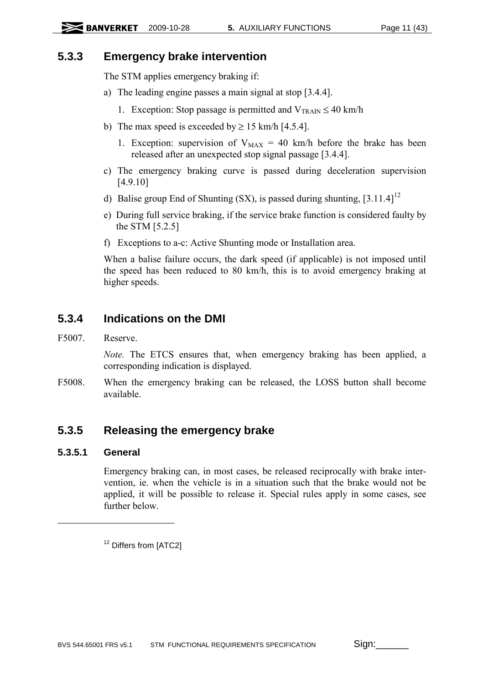## <span id="page-10-0"></span>**5.3.3 Emergency brake intervention**

The STM applies emergency braking if:

- a) The leading engine passes a main signal at stop [3.4.4].
	- 1. Exception: Stop passage is permitted and  $V_{TRAN} \leq 40$  km/h
- b) The max speed is exceeded by  $\geq 15$  km/h [4.5.4].
	- 1. Exception: supervision of  $V_{MAX} = 40$  km/h before the brake has been released after an unexpected stop signal passage [3.4.4].
- c) The emergency braking curve is passed during deceleration supervision [4.9.10]
- d) Balise group End of Shunting (SX), is passed during shunting,  $[3.11.4]^{12}$
- e) During full service braking, if the service brake function is considered faulty by the STM [5.2.5]
- f) Exceptions to a-c: Active Shunting mode or Installation area.

When a balise failure occurs, the dark speed (if applicable) is not imposed until the speed has been reduced to 80 km/h, this is to avoid emergency braking at higher speeds.

# <span id="page-10-1"></span>**5.3.4 Indications on the DMI**

F5007. Reserve.

*Note.* The ETCS ensures that, when emergency braking has been applied, a corresponding indication is displayed.

F5008. When the emergency braking can be released, the LOSS button shall become available.

# <span id="page-10-2"></span>**5.3.5 Releasing the emergency brake**

#### **5.3.5.1 General**

 $\overline{a}$ 

Emergency braking can, in most cases, be released reciprocally with brake intervention, ie. when the vehicle is in a situation such that the brake would not be applied, it will be possible to release it. Special rules apply in some cases, see further below.

<sup>&</sup>lt;sup>12</sup> Differs from [ATC2]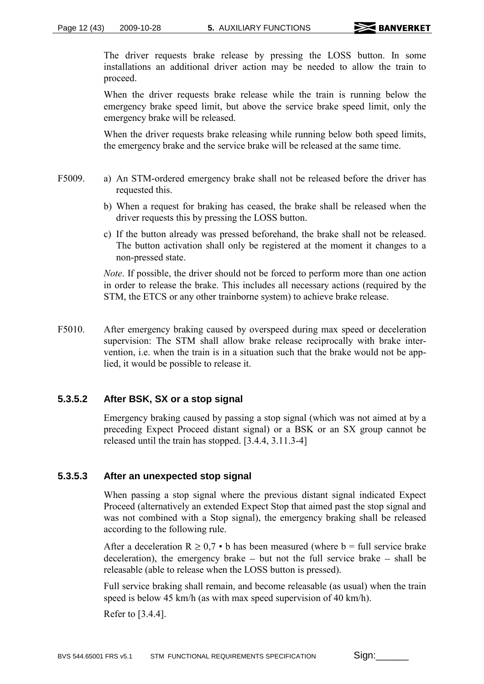The driver requests brake release by pressing the LOSS button. In some installations an additional driver action may be needed to allow the train to proceed.

When the driver requests brake release while the train is running below the emergency brake speed limit, but above the service brake speed limit, only the emergency brake will be released.

When the driver requests brake releasing while running below both speed limits, the emergency brake and the service brake will be released at the same time.

- F5009. a) An STM-ordered emergency brake shall not be released before the driver has requested this.
	- b) When a request for braking has ceased, the brake shall be released when the driver requests this by pressing the LOSS button.
	- c) If the button already was pressed beforehand, the brake shall not be released. The button activation shall only be registered at the moment it changes to a non-pressed state.

*Note*. If possible, the driver should not be forced to perform more than one action in order to release the brake. This includes all necessary actions (required by the STM, the ETCS or any other trainborne system) to achieve brake release.

F5010. After emergency braking caused by overspeed during max speed or deceleration supervision: The STM shall allow brake release reciprocally with brake intervention, i.e. when the train is in a situation such that the brake would not be applied, it would be possible to release it.

#### **5.3.5.2 After BSK, SX or a stop signal**

Emergency braking caused by passing a stop signal (which was not aimed at by a preceding Expect Proceed distant signal) or a BSK or an SX group cannot be released until the train has stopped. [3.4.4, 3.11.3-4]

#### **5.3.5.3 After an unexpected stop signal**

When passing a stop signal where the previous distant signal indicated Expect Proceed (alternatively an extended Expect Stop that aimed past the stop signal and was not combined with a Stop signal), the emergency braking shall be released according to the following rule.

After a deceleration  $R \ge 0.7 \cdot b$  has been measured (where b = full service brake deceleration), the emergency brake  $-$  but not the full service brake  $-$  shall be releasable (able to release when the LOSS button is pressed).

Full service braking shall remain, and become releasable (as usual) when the train speed is below 45 km/h (as with max speed supervision of 40 km/h).

Refer to [3.4.4].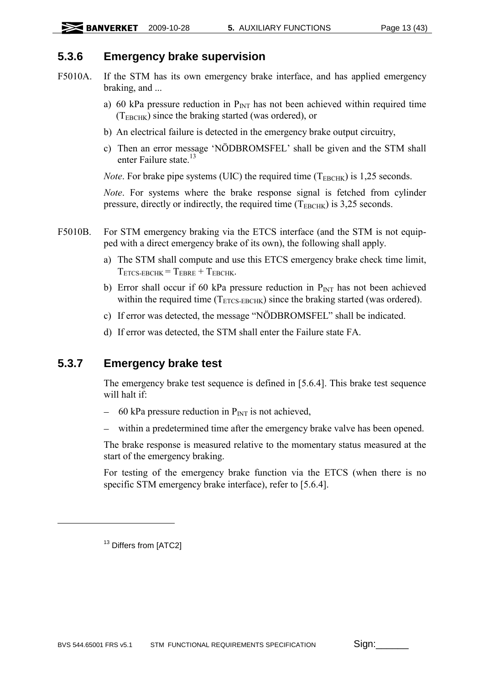## <span id="page-12-0"></span>**5.3.6 Emergency brake supervision**

- F5010A. If the STM has its own emergency brake interface, and has applied emergency braking, and ...
	- a) 60 kPa pressure reduction in  $P_{INT}$  has not been achieved within required time  $(T_{EBCHK})$  since the braking started (was ordered), or
	- b) An electrical failure is detected in the emergency brake output circuitry,
	- c) Then an error message "NÖDBROMSFEL" shall be given and the STM shall enter Failure state.<sup>13</sup>

*Note*. For brake pipe systems (UIC) the required time ( $T_{EBCHK}$ ) is 1,25 seconds.

*Note*. For systems where the brake response signal is fetched from cylinder pressure, directly or indirectly, the required time  $(T_{\text{EBCHK}})$  is 3,25 seconds.

- F5010B. For STM emergency braking via the ETCS interface (and the STM is not equipped with a direct emergency brake of its own), the following shall apply.
	- a) The STM shall compute and use this ETCS emergency brake check time limit,  $T_{ETCS-EBCHK}$  =  $T_{EBRE}$  +  $T_{EBCHK}$ .
	- b) Error shall occur if 60 kPa pressure reduction in  $P_{INT}$  has not been achieved within the required time  $(T_{ETCS-EBCHK})$  since the braking started (was ordered).
	- c) If error was detected, the message "NÖDBROMSFEL" shall be indicated.
	- d) If error was detected, the STM shall enter the Failure state FA.

## <span id="page-12-1"></span>**5.3.7 Emergency brake test**

The emergency brake test sequence is defined in [5.6.4]. This brake test sequence will halt if:

- $-$  60 kPa pressure reduction in P<sub>INT</sub> is not achieved,
- within a predetermined time after the emergency brake valve has been opened.

The brake response is measured relative to the momentary status measured at the start of the emergency braking.

For testing of the emergency brake function via the ETCS (when there is no specific STM emergency brake interface), refer to [5.6.4].

<sup>&</sup>lt;sup>13</sup> Differs from [ATC2]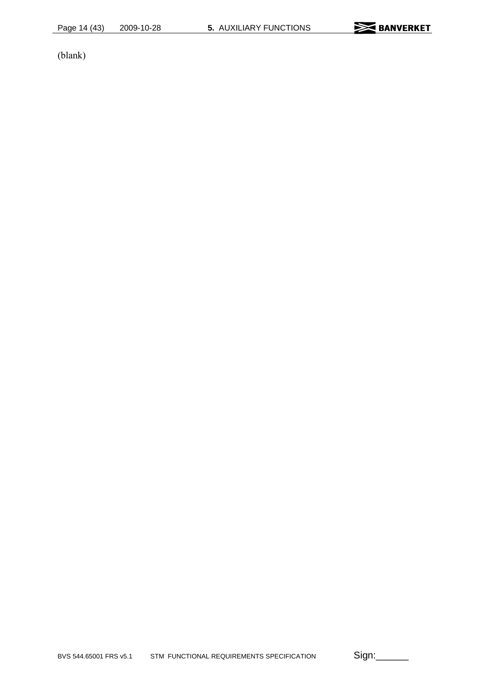

(blank)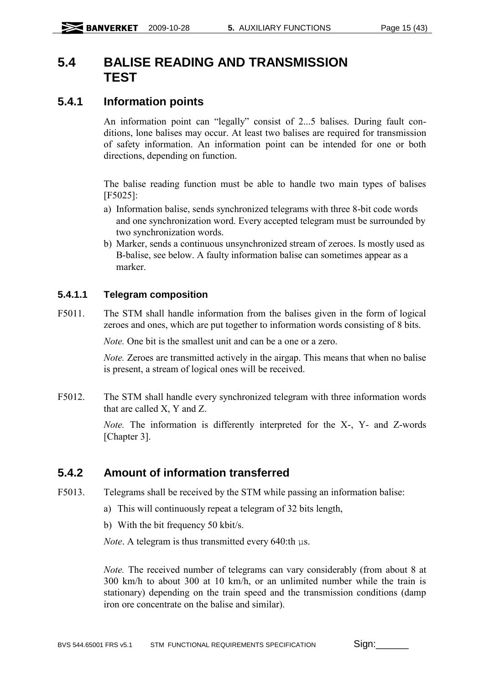# <span id="page-14-0"></span>**5.4 BALISE READING AND TRANSMISSION TEST**

## <span id="page-14-1"></span>**5.4.1 Information points**

An information point can "legally" consist of 2...5 balises. During fault conditions, lone balises may occur. At least two balises are required for transmission of safety information. An information point can be intended for one or both directions, depending on function.

The balise reading function must be able to handle two main types of balises [F5025]:

- a) Information balise, sends synchronized telegrams with three 8-bit code words and one synchronization word. Every accepted telegram must be surrounded by two synchronization words.
- b) Marker, sends a continuous unsynchronized stream of zeroes. Is mostly used as B-balise, see below. A faulty information balise can sometimes appear as a marker.

#### **5.4.1.1 Telegram composition**

F5011. The STM shall handle information from the balises given in the form of logical zeroes and ones, which are put together to information words consisting of 8 bits.

*Note.* One bit is the smallest unit and can be a one or a zero.

*Note.* Zeroes are transmitted actively in the airgap. This means that when no balise is present, a stream of logical ones will be received.

F5012. The STM shall handle every synchronized telegram with three information words that are called X, Y and Z.

> *Note.* The information is differently interpreted for the X-, Y- and Z-words [Chapter 3].

# <span id="page-14-2"></span>**5.4.2 Amount of information transferred**

- F5013. Telegrams shall be received by the STM while passing an information balise:
	- a) This will continuously repeat a telegram of 32 bits length,
	- b) With the bit frequency 50 kbit/s.

*Note*. A telegram is thus transmitted every 640:th μs.

*Note.* The received number of telegrams can vary considerably (from about 8 at 300 km/h to about 300 at 10 km/h, or an unlimited number while the train is stationary) depending on the train speed and the transmission conditions (damp iron ore concentrate on the balise and similar).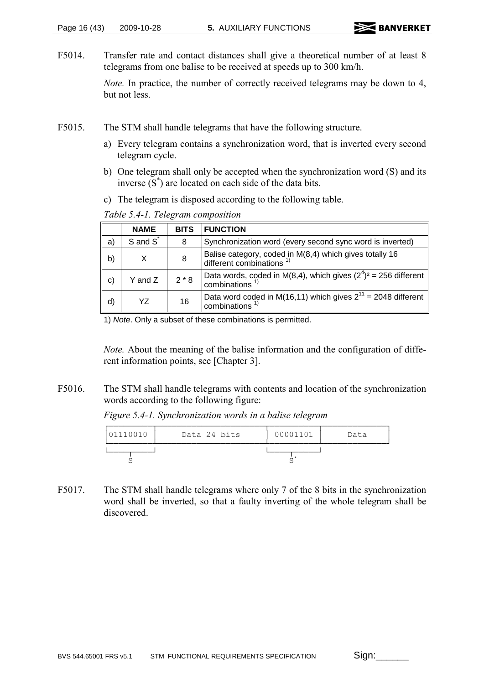F5014. Transfer rate and contact distances shall give a theoretical number of at least 8 telegrams from one balise to be received at speeds up to 300 km/h.

> *Note.* In practice, the number of correctly received telegrams may be down to 4, but not less.

- F5015. The STM shall handle telegrams that have the following structure.
	- a) Every telegram contains a synchronization word, that is inverted every second telegram cycle.
	- b) One telegram shall only be accepted when the synchronization word (S) and its inverse  $(S^*)$  are located on each side of the data bits.
	- c) The telegram is disposed according to the following table.

<span id="page-15-1"></span>*Table 5.4-1. Telegram composition*

|    | <b>NAME</b>          | <b>BITS</b> | <b>FUNCTION</b>                                                                                  |  |
|----|----------------------|-------------|--------------------------------------------------------------------------------------------------|--|
| a) | S and S <sup>*</sup> | 8           | Synchronization word (every second sync word is inverted)                                        |  |
| b) | X                    | 8           | Balise category, coded in M(8,4) which gives totally 16<br>different combinations <sup>1)</sup>  |  |
| C) | Y and Z              | $2 * 8$     | Data words, coded in M(8,4), which gives $(2^4)^2 = 256$ different<br>combinations <sup>1)</sup> |  |
| d) | YZ                   | 16          | Data word coded in M(16,11) which gives $2^{11}$ = 2048 different<br>combinations $1$            |  |

1) *Note*. Only a subset of these combinations is permitted.

*Note.* About the meaning of the balise information and the configuration of different information points, see [Chapter 3].

F5016. The STM shall handle telegrams with contents and location of the synchronization words according to the following figure:

<span id="page-15-0"></span>*Figure 5.4-1. Synchronization words in a balise telegram*

| 01110010 | Data 24 bits | 00001101 | Data |
|----------|--------------|----------|------|
|          |              |          |      |

F5017. The STM shall handle telegrams where only 7 of the 8 bits in the synchronization word shall be inverted, so that a faulty inverting of the whole telegram shall be discovered.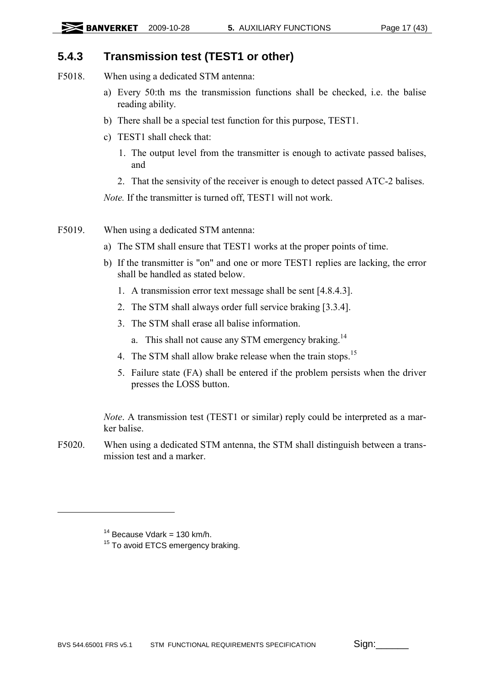## <span id="page-16-0"></span>**5.4.3 Transmission test (TEST1 or other)**

- F5018. When using a dedicated STM antenna:
	- a) Every 50:th ms the transmission functions shall be checked, i.e. the balise reading ability.
	- b) There shall be a special test function for this purpose, TEST1.
	- c) TEST1 shall check that:
		- 1. The output level from the transmitter is enough to activate passed balises, and
		- 2. That the sensivity of the receiver is enough to detect passed ATC-2 balises.

*Note.* If the transmitter is turned off, TEST1 will not work.

- F5019. When using a dedicated STM antenna:
	- a) The STM shall ensure that TEST1 works at the proper points of time.
	- b) If the transmitter is "on" and one or more TEST1 replies are lacking, the error shall be handled as stated below.
		- 1. A transmission error text message shall be sent [4.8.4.3].
		- 2. The STM shall always order full service braking [3.3.4].
		- 3. The STM shall erase all balise information.
			- a. This shall not cause any STM emergency braking.<sup>14</sup>
		- 4. The STM shall allow brake release when the train stops.<sup>15</sup>
		- 5. Failure state (FA) shall be entered if the problem persists when the driver presses the LOSS button.

*Note*. A transmission test (TEST1 or similar) reply could be interpreted as a marker balise.

F5020. When using a dedicated STM antenna, the STM shall distinguish between a transmission test and a marker.

 $14$  Because Vdark = 130 km/h.

<sup>&</sup>lt;sup>15</sup> To avoid ETCS emergency braking.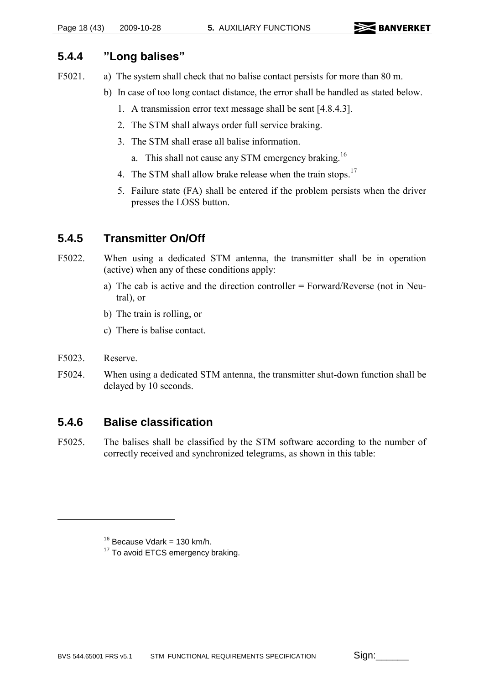# <span id="page-17-0"></span>**5.4.4 "Long balises"**

- F5021. a) The system shall check that no balise contact persists for more than 80 m.
	- b) In case of too long contact distance, the error shall be handled as stated below.
		- 1. A transmission error text message shall be sent [4.8.4.3].
		- 2. The STM shall always order full service braking.
		- 3. The STM shall erase all balise information.
			- a. This shall not cause any STM emergency braking.<sup>16</sup>
		- 4. The STM shall allow brake release when the train stops.<sup>17</sup>
		- 5. Failure state (FA) shall be entered if the problem persists when the driver presses the LOSS button.

# <span id="page-17-1"></span>**5.4.5 Transmitter On/Off**

- F5022. When using a dedicated STM antenna, the transmitter shall be in operation (active) when any of these conditions apply:
	- a) The cab is active and the direction controller = Forward/Reverse (not in Neutral), or
	- b) The train is rolling, or
	- c) There is balise contact.
- F5023. Reserve.

 $\overline{a}$ 

F5024. When using a dedicated STM antenna, the transmitter shut-down function shall be delayed by 10 seconds.

# <span id="page-17-2"></span>**5.4.6 Balise classification**

F5025. The balises shall be classified by the STM software according to the number of correctly received and synchronized telegrams, as shown in this table:

 $16$  Because Vdark = 130 km/h.

<sup>&</sup>lt;sup>17</sup> To avoid ETCS emergency braking.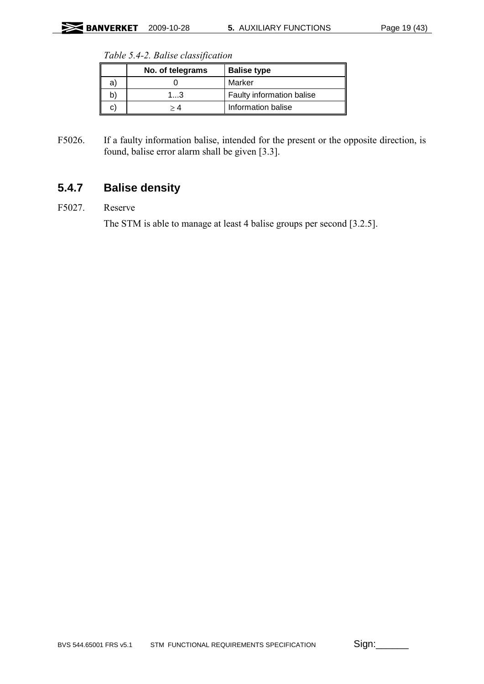<span id="page-18-1"></span>*Table 5.4-2. Balise classification*

|    | No. of telegrams | <b>Balise type</b>        |
|----|------------------|---------------------------|
| a) |                  | Marker                    |
|    | 13               | Faulty information balise |
| C. |                  | Information balise        |

F5026. If a faulty information balise, intended for the present or the opposite direction, is found, balise error alarm shall be given [3.3].

# <span id="page-18-0"></span>**5.4.7 Balise density**

#### F5027. Reserve

The STM is able to manage at least 4 balise groups per second [3.2.5].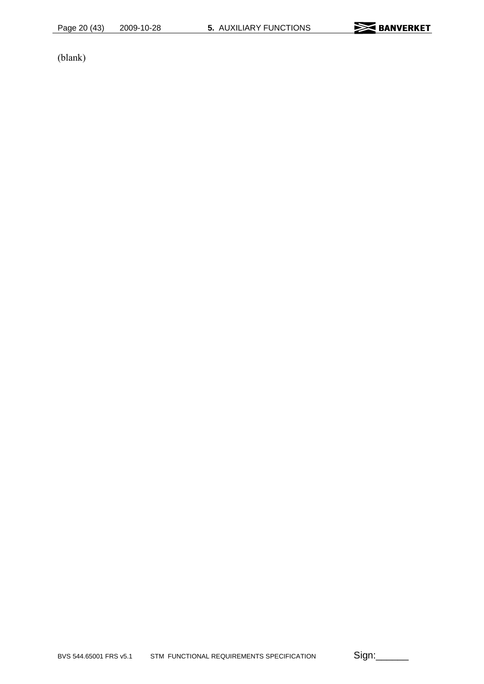

(blank)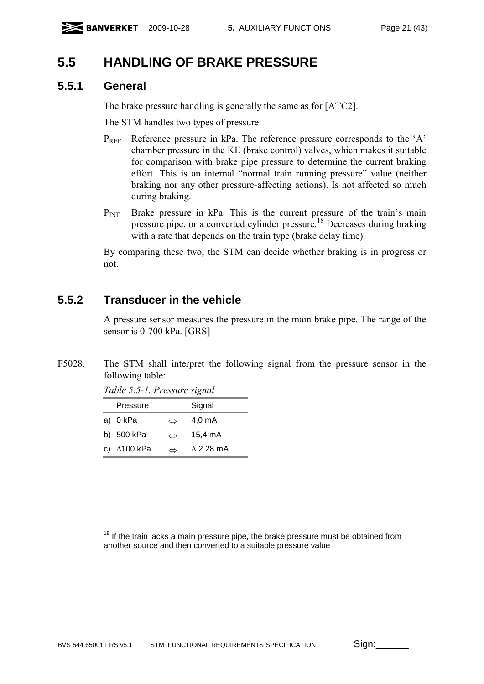# <span id="page-20-0"></span>**5.5 HANDLING OF BRAKE PRESSURE**

#### <span id="page-20-1"></span>**5.5.1 General**

 $\overline{a}$ 

The brake pressure handling is generally the same as for [ATC2].

The STM handles two types of pressure:

- $P_{REF}$  Reference pressure in kPa. The reference pressure corresponds to the 'A' chamber pressure in the KE (brake control) valves, which makes it suitable for comparison with brake pipe pressure to determine the current braking effort. This is an internal "normal train running pressure" value (neither braking nor any other pressure-affecting actions). Is not affected so much during braking.
- $P_{INT}$  Brake pressure in kPa. This is the current pressure of the train's main pressure pipe, or a converted cylinder pressure.<sup>18</sup> Decreases during braking with a rate that depends on the train type (brake delay time).

By comparing these two, the STM can decide whether braking is in progress or not.

### <span id="page-20-2"></span>**5.5.2 Transducer in the vehicle**

A pressure sensor measures the pressure in the main brake pipe. The range of the sensor is 0-700 kPa. [GRS]

F5028. The STM shall interpret the following signal from the pressure sensor in the following table:

<span id="page-20-3"></span>

| Table 5.5-1. Pressure signal |                        |               |                  |  |
|------------------------------|------------------------|---------------|------------------|--|
| Signal<br>Pressure           |                        |               |                  |  |
|                              | a) OkPa                | $\Rightarrow$ | 4,0 mA           |  |
|                              | b) 500 kPa             | $\Rightarrow$ | 15,4 mA          |  |
|                              | c) $\triangle$ 100 kPa | $\Rightarrow$ | $\Delta$ 2,28 mA |  |

<sup>&</sup>lt;sup>18</sup> If the train lacks a main pressure pipe, the brake pressure must be obtained from another source and then converted to a suitable pressure value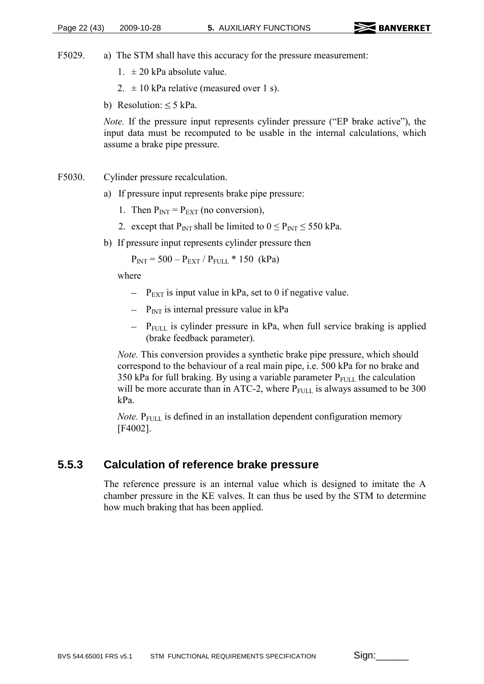- F5029. a) The STM shall have this accuracy for the pressure measurement:
	- 1.  $\pm 20$  kPa absolute value.
	- 2.  $\pm$  10 kPa relative (measured over 1 s).
	- b) Resolution:  $\leq$  5 kPa.

*Note.* If the pressure input represents cylinder pressure ("EP brake active"), the input data must be recomputed to be usable in the internal calculations, which assume a brake pipe pressure.

- F5030. Cylinder pressure recalculation.
	- a) If pressure input represents brake pipe pressure:
		- 1. Then  $P_{INT} = P_{EXT}$  (no conversion),
		- 2. except that P<sub>INT</sub> shall be limited to  $0 \leq P_{\text{INT}} \leq 550$  kPa.
	- b) If pressure input represents cylinder pressure then

 $P_{INT} = 500 - P_{EXT} / P_{FULL} * 150$  (kPa)

where

- $-P_{EXT}$  is input value in kPa, set to 0 if negative value.
- $-P_{INT}$  is internal pressure value in kPa
- $-P_{FULL}$  is cylinder pressure in kPa, when full service braking is applied (brake feedback parameter).

*Note.* This conversion provides a synthetic brake pipe pressure, which should correspond to the behaviour of a real main pipe, i.e. 500 kPa for no brake and 350 kPa for full braking. By using a variable parameter  $P_{\text{FULL}}$  the calculation will be more accurate than in ATC-2, where  $P_{\text{FULL}}$  is always assumed to be 300 kPa.

*Note.*  $P_{\text{FULL}}$  is defined in an installation dependent configuration memory [F4002].

#### <span id="page-21-0"></span>**5.5.3 Calculation of reference brake pressure**

The reference pressure is an internal value which is designed to imitate the A chamber pressure in the KE valves. It can thus be used by the STM to determine how much braking that has been applied.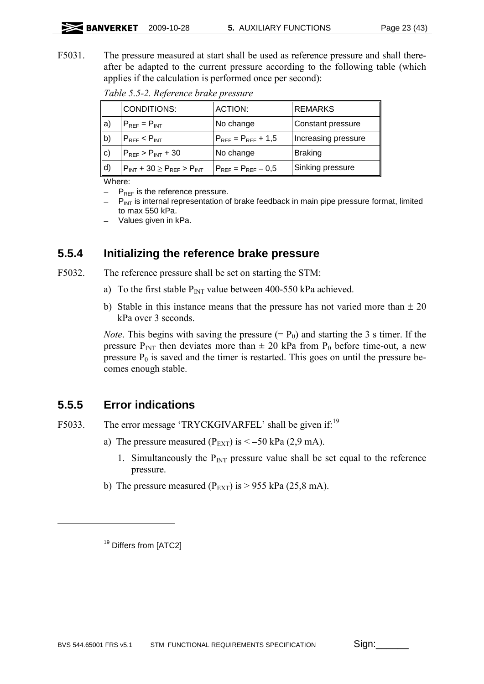**BANVERKET** 2009-10-28 5. AUXILIARY FUNCTIONS Page 23 (43)

F5031. The pressure measured at start shall be used as reference pressure and shall thereafter be adapted to the current pressure according to the following table (which applies if the calculation is performed once per second):

|              | <b>CONDITIONS:</b>                            | ACTION:                   | <b>REMARKS</b>      |
|--------------|-----------------------------------------------|---------------------------|---------------------|
| a)           | $P_{REF} = P_{INT}$                           | No change                 | Constant pressure   |
| $\vert$ b)   | $P_{REF}$ < $P_{INT}$                         | $P_{REF} = P_{REF} + 1.5$ | Increasing pressure |
| (C)          | $P_{REF}$ > $P_{INT}$ + 30                    | No change                 | <b>Braking</b>      |
| $\mathsf{d}$ | $P_{INT}$ + 30 $\geq$ $P_{REF}$ $>$ $P_{INT}$ | $P_{REF} = P_{REF} - 0.5$ | Sinking pressure    |

<span id="page-22-2"></span>*Table 5.5-2. Reference brake pressure*

Where:

 $-P_{REF}$  is the reference pressure.

 $P_{INT}$  is internal representation of brake feedback in main pipe pressure format, limited to max 550 kPa.

Values given in kPa.

### <span id="page-22-0"></span>**5.5.4 Initializing the reference brake pressure**

F5032. The reference pressure shall be set on starting the STM:

- a) To the first stable  $P_{INT}$  value between 400-550 kPa achieved.
- b) Stable in this instance means that the pressure has not varied more than  $\pm 20$ kPa over 3 seconds.

*Note*. This begins with saving the pressure  $(= P_0)$  and starting the 3 s timer. If the pressure P<sub>INT</sub> then deviates more than  $\pm 20$  kPa from P<sub>0</sub> before time-out, a new pressure  $P_0$  is saved and the timer is restarted. This goes on until the pressure becomes enough stable.

#### <span id="page-22-1"></span>**5.5.5 Error indications**

F5033. The error message 'TRYCKGIVARFEL' shall be given if:<sup>19</sup>

- a) The pressure measured ( $P_{\text{EXT}}$ ) is  $\leq -50$  kPa (2,9 mA).
	- 1. Simultaneously the  $P_{INT}$  pressure value shall be set equal to the reference pressure.
- b) The pressure measured ( $P_{\text{EXT}}$ ) is > 955 kPa (25,8 mA).

<sup>&</sup>lt;sup>19</sup> Differs from [ATC2]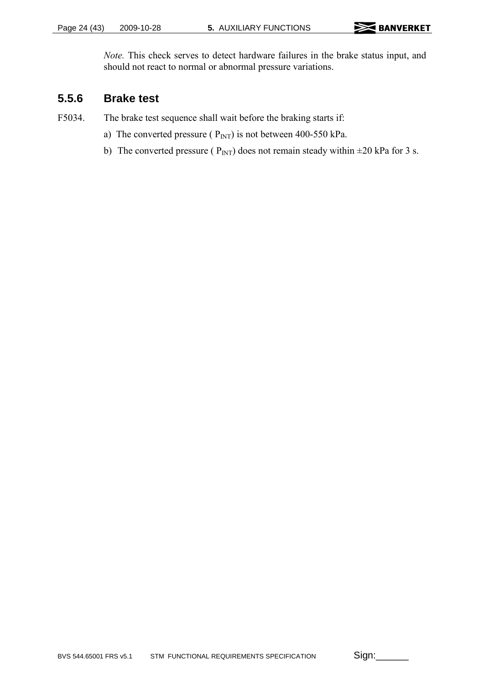*Note.* This check serves to detect hardware failures in the brake status input, and should not react to normal or abnormal pressure variations.

## <span id="page-23-0"></span>**5.5.6 Brake test**

F5034. The brake test sequence shall wait before the braking starts if:

- a) The converted pressure ( $P_{INT}$ ) is not between 400-550 kPa.
- b) The converted pressure ( $P_{INT}$ ) does not remain steady within  $\pm 20$  kPa for 3 s.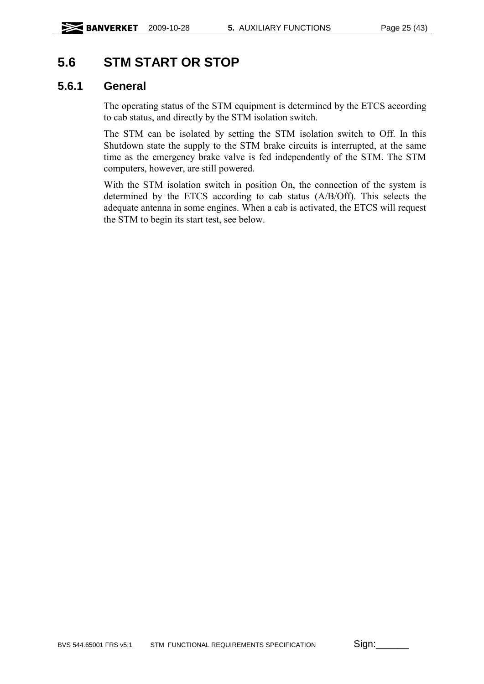# <span id="page-24-0"></span>**5.6 STM START OR STOP**

### <span id="page-24-1"></span>**5.6.1 General**

The operating status of the STM equipment is determined by the ETCS according to cab status, and directly by the STM isolation switch.

The STM can be isolated by setting the STM isolation switch to Off. In this Shutdown state the supply to the STM brake circuits is interrupted, at the same time as the emergency brake valve is fed independently of the STM. The STM computers, however, are still powered.

With the STM isolation switch in position On, the connection of the system is determined by the ETCS according to cab status (A/B/Off). This selects the adequate antenna in some engines. When a cab is activated, the ETCS will request the STM to begin its start test, see below.

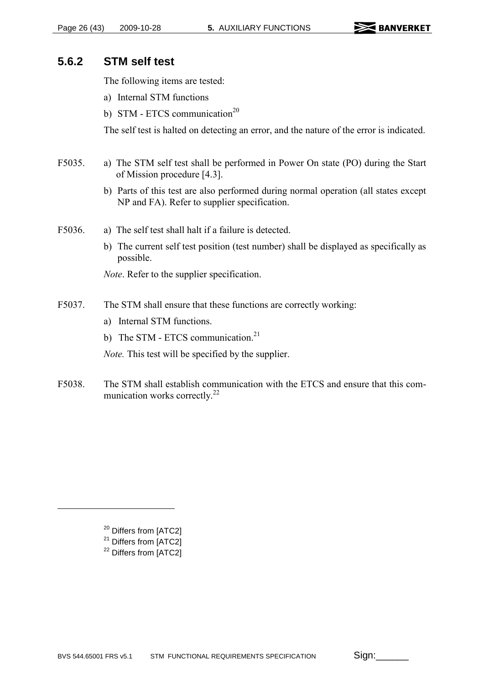**BANVERKET** 

#### <span id="page-25-0"></span>**5.6.2 STM self test**

The following items are tested:

- a) Internal STM functions
- b) STM ETCS communication<sup>20</sup>

The self test is halted on detecting an error, and the nature of the error is indicated.

- F5035. a) The STM self test shall be performed in Power On state (PO) during the Start of Mission procedure [4.3].
	- b) Parts of this test are also performed during normal operation (all states except NP and FA). Refer to supplier specification.
- F5036. a) The self test shall halt if a failure is detected.
	- b) The current self test position (test number) shall be displayed as specifically as possible.

*Note*. Refer to the supplier specification.

- F5037. The STM shall ensure that these functions are correctly working:
	- a) Internal STM functions.
	- b) The STM ETCS communication.<sup>21</sup>

*Note.* This test will be specified by the supplier.

F5038. The STM shall establish communication with the ETCS and ensure that this communication works correctly.<sup>22</sup>

- <sup>21</sup> Differs from [ATC2]
- <sup>22</sup> Differs from [ATC2]

<sup>&</sup>lt;sup>20</sup> Differs from [ATC2]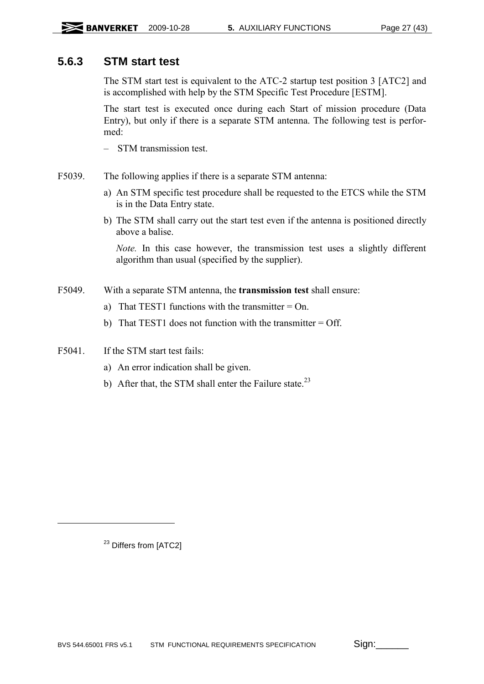## <span id="page-26-0"></span>**5.6.3 STM start test**

The STM start test is equivalent to the ATC-2 startup test position 3 [ATC2] and is accomplished with help by the STM Specific Test Procedure [ESTM].

The start test is executed once during each Start of mission procedure (Data Entry), but only if there is a separate STM antenna. The following test is performed:

- STM transmission test.
- F5039. The following applies if there is a separate STM antenna:
	- a) An STM specific test procedure shall be requested to the ETCS while the STM is in the Data Entry state.
	- b) The STM shall carry out the start test even if the antenna is positioned directly above a balise.

*Note.* In this case however, the transmission test uses a slightly different algorithm than usual (specified by the supplier).

- F5049. With a separate STM antenna, the **transmission test** shall ensure:
	- a) That TEST1 functions with the transmitter  $=$  On.
	- b) That TEST1 does not function with the transmitter = Off.
- F5041. If the STM start test fails:
	- a) An error indication shall be given.
	- b) After that, the STM shall enter the Failure state.<sup>23</sup>

<sup>23</sup> Differs from [ATC2]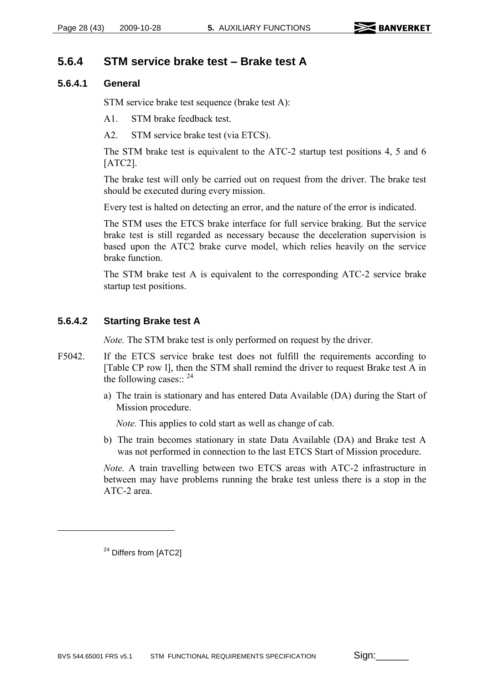#### <span id="page-27-0"></span>**5.6.4 STM service brake test – Brake test A**

#### **5.6.4.1 General**

STM service brake test sequence (brake test A):

- A1. STM brake feedback test.
- A2. STM service brake test (via ETCS).

The STM brake test is equivalent to the ATC-2 startup test positions 4, 5 and 6 [ATC2].

The brake test will only be carried out on request from the driver. The brake test should be executed during every mission.

Every test is halted on detecting an error, and the nature of the error is indicated.

The STM uses the ETCS brake interface for full service braking. But the service brake test is still regarded as necessary because the deceleration supervision is based upon the ATC2 brake curve model, which relies heavily on the service brake function.

The STM brake test A is equivalent to the corresponding ATC-2 service brake startup test positions.

#### **5.6.4.2 Starting Brake test A**

*Note.* The STM brake test is only performed on request by the driver.

- F5042. If the ETCS service brake test does not fulfill the requirements according to [Table CP row l], then the STM shall remind the driver to request Brake test A in the following cases:  $24$ 
	- a) The train is stationary and has entered Data Available (DA) during the Start of Mission procedure.

*Note.* This applies to cold start as well as change of cab.

b) The train becomes stationary in state Data Available (DA) and Brake test A was not performed in connection to the last ETCS Start of Mission procedure.

*Note.* A train travelling between two ETCS areas with ATC-2 infrastructure in between may have problems running the brake test unless there is a stop in the ATC-2 area.

<sup>&</sup>lt;sup>24</sup> Differs from [ATC2]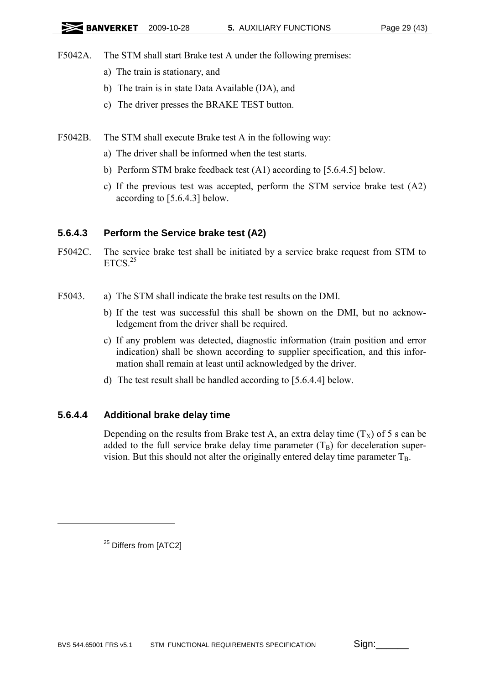- F5042A. The STM shall start Brake test A under the following premises:
	- a) The train is stationary, and
	- b) The train is in state Data Available (DA), and
	- c) The driver presses the BRAKE TEST button.
- F5042B. The STM shall execute Brake test A in the following way:
	- a) The driver shall be informed when the test starts.
	- b) Perform STM brake feedback test (A1) according to [5.6.4.5] below.
	- c) If the previous test was accepted, perform the STM service brake test (A2) according to [5.6.4.3] below.

#### **5.6.4.3 Perform the Service brake test (A2)**

- F5042C. The service brake test shall be initiated by a service brake request from STM to ETCS $^{25}$
- F5043. a) The STM shall indicate the brake test results on the DMI.
	- b) If the test was successful this shall be shown on the DMI, but no acknowledgement from the driver shall be required.
	- c) If any problem was detected, diagnostic information (train position and error indication) shall be shown according to supplier specification, and this information shall remain at least until acknowledged by the driver.
	- d) The test result shall be handled according to [5.6.4.4] below.

#### **5.6.4.4 Additional brake delay time**

Depending on the results from Brake test A, an extra delay time  $(T_X)$  of 5 s can be added to the full service brake delay time parameter  $(T_B)$  for deceleration supervision. But this should not alter the originally entered delay time parameter  $T_B$ .

<sup>25</sup> Differs from [ATC2]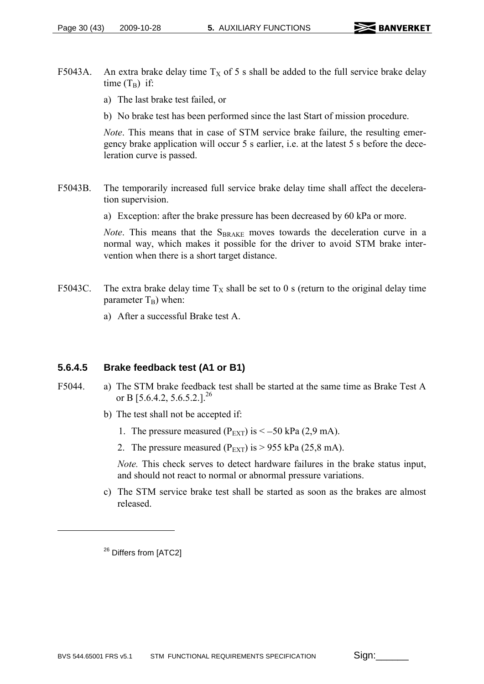- F5043A. An extra brake delay time  $T_X$  of 5 s shall be added to the full service brake delay time  $(T_B)$  if:
	- a) The last brake test failed, or
	- b) No brake test has been performed since the last Start of mission procedure.

*Note*. This means that in case of STM service brake failure, the resulting emergency brake application will occur 5 s earlier, i.e. at the latest 5 s before the deceleration curve is passed.

F5043B. The temporarily increased full service brake delay time shall affect the deceleration supervision.

a) Exception: after the brake pressure has been decreased by 60 kPa or more.

*Note*. This means that the S<sub>BRAKE</sub> moves towards the deceleration curve in a normal way, which makes it possible for the driver to avoid STM brake intervention when there is a short target distance.

- F5043C. The extra brake delay time  $T_X$  shall be set to 0 s (return to the original delay time parameter  $T_B$ ) when:
	- a) After a successful Brake test A.

#### **5.6.4.5 Brake feedback test (A1 or B1)**

- F5044. a) The STM brake feedback test shall be started at the same time as Brake Test A or B [5.6.4.2, 5.6.5.2.]<sup>26</sup>
	- b) The test shall not be accepted if:
		- 1. The pressure measured ( $P_{EXT}$ ) is  $\leq -50$  kPa (2,9 mA).
		- 2. The pressure measured ( $P_{EXT}$ ) is > 955 kPa (25,8 mA).

*Note.* This check serves to detect hardware failures in the brake status input, and should not react to normal or abnormal pressure variations.

c) The STM service brake test shall be started as soon as the brakes are almost released.

<sup>26</sup> Differs from [ATC2]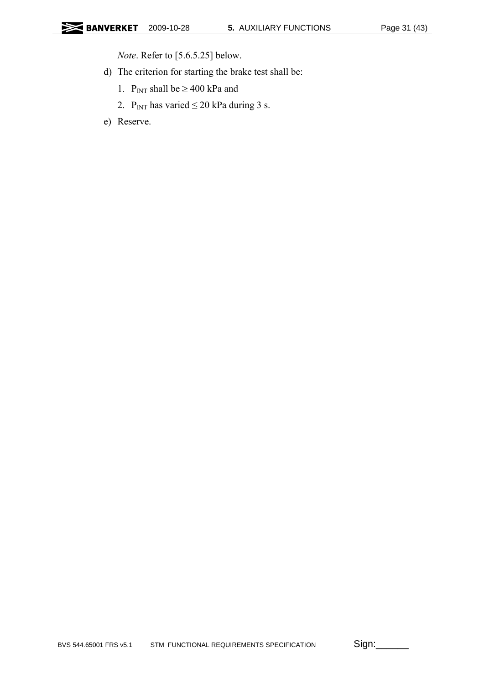*Note*. Refer to [5.6.5.25] below.

- d) The criterion for starting the brake test shall be:
	- 1.  $P_{INT}$  shall be  $\geq 400$  kPa and
	- 2. P<sub>INT</sub> has varied  $\leq$  20 kPa during 3 s.
- e) Reserve.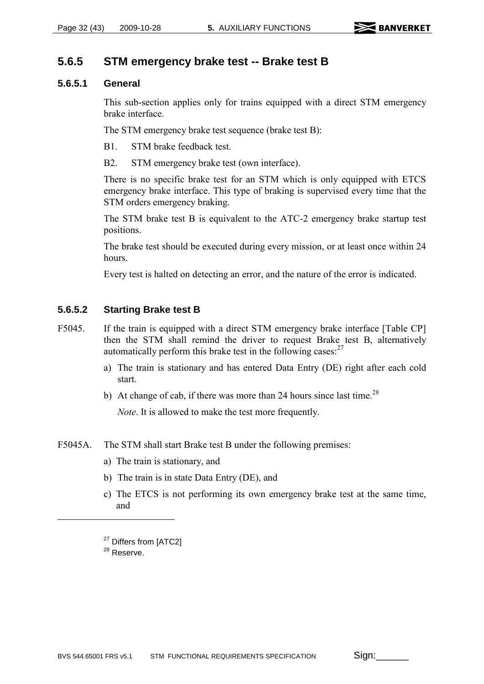### <span id="page-31-0"></span>**5.6.5 STM emergency brake test -- Brake test B**

#### **5.6.5.1 General**

This sub-section applies only for trains equipped with a direct STM emergency brake interface.

The STM emergency brake test sequence (brake test B):

B1. STM brake feedback test.

B2. STM emergency brake test (own interface).

There is no specific brake test for an STM which is only equipped with ETCS emergency brake interface. This type of braking is supervised every time that the STM orders emergency braking.

The STM brake test B is equivalent to the ATC-2 emergency brake startup test positions.

The brake test should be executed during every mission, or at least once within 24 hours.

Every test is halted on detecting an error, and the nature of the error is indicated.

#### **5.6.5.2 Starting Brake test B**

- F5045. If the train is equipped with a direct STM emergency brake interface [Table CP] then the STM shall remind the driver to request Brake test B, alternatively automatically perform this brake test in the following cases: $27$ 
	- a) The train is stationary and has entered Data Entry (DE) right after each cold start.
	- b) At change of cab, if there was more than 24 hours since last time.<sup>28</sup>

*Note*. It is allowed to make the test more frequently.

- F5045A. The STM shall start Brake test B under the following premises:
	- a) The train is stationary, and
	- b) The train is in state Data Entry (DE), and
	- c) The ETCS is not performing its own emergency brake test at the same time, and

<sup>27</sup> Differs from [ATC2]

<sup>28</sup> Reserve.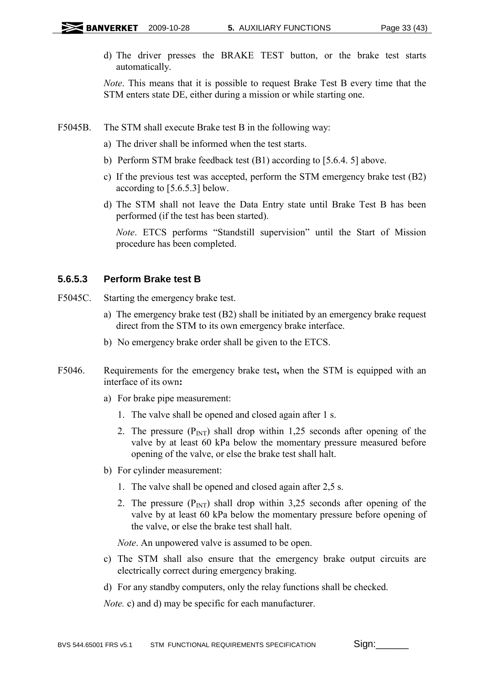d) The driver presses the BRAKE TEST button, or the brake test starts automatically.

*Note*. This means that it is possible to request Brake Test B every time that the STM enters state DE, either during a mission or while starting one.

- F5045B. The STM shall execute Brake test B in the following way:
	- a) The driver shall be informed when the test starts.
	- b) Perform STM brake feedback test (B1) according to [5.6.4. 5] above.
	- c) If the previous test was accepted, perform the STM emergency brake test (B2) according to [5.6.5.3] below.
	- d) The STM shall not leave the Data Entry state until Brake Test B has been performed (if the test has been started).

*Note*. ETCS performs "Standstill supervision" until the Start of Mission procedure has been completed.

#### **5.6.5.3 Perform Brake test B**

- F5045C. Starting the emergency brake test.
	- a) The emergency brake test (B2) shall be initiated by an emergency brake request direct from the STM to its own emergency brake interface.
	- b) No emergency brake order shall be given to the ETCS.
- F5046. Requirements for the emergency brake test**,** when the STM is equipped with an interface of its own**:**
	- a) For brake pipe measurement:
		- 1. The valve shall be opened and closed again after 1 s.
		- 2. The pressure  $(P_{\text{INT}})$  shall drop within 1,25 seconds after opening of the valve by at least 60 kPa below the momentary pressure measured before opening of the valve, or else the brake test shall halt.
	- b) For cylinder measurement:
		- 1. The valve shall be opened and closed again after 2,5 s.
		- 2. The pressure  $(P_{\text{INT}})$  shall drop within 3,25 seconds after opening of the valve by at least 60 kPa below the momentary pressure before opening of the valve, or else the brake test shall halt.

*Note*. An unpowered valve is assumed to be open.

- c) The STM shall also ensure that the emergency brake output circuits are electrically correct during emergency braking.
- d) For any standby computers, only the relay functions shall be checked.

*Note.* c) and d) may be specific for each manufacturer.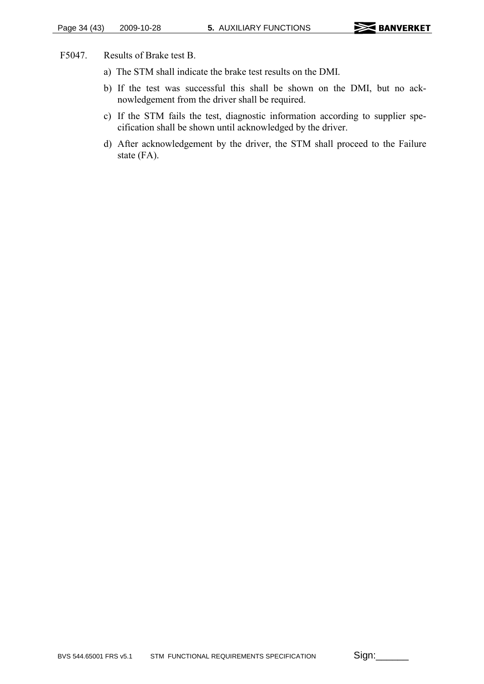- F5047. Results of Brake test B.
	- a) The STM shall indicate the brake test results on the DMI.
	- b) If the test was successful this shall be shown on the DMI, but no acknowledgement from the driver shall be required.
	- c) If the STM fails the test, diagnostic information according to supplier specification shall be shown until acknowledged by the driver.
	- d) After acknowledgement by the driver, the STM shall proceed to the Failure state (FA).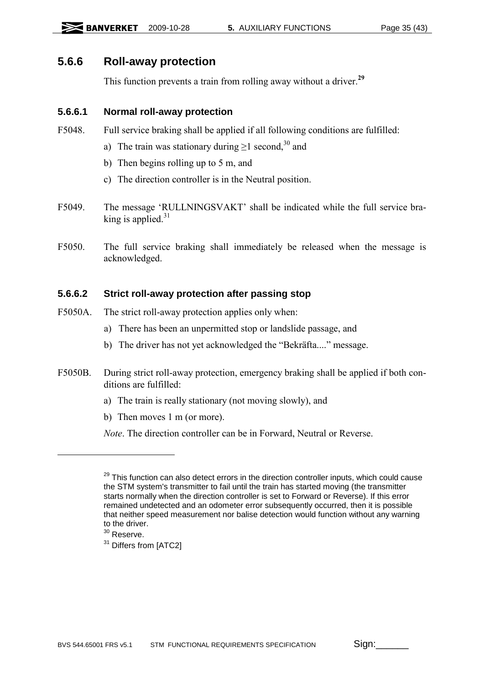### <span id="page-34-0"></span>**5.6.6 Roll-away protection**

This function prevents a train from rolling away without a driver.**<sup>29</sup>**

#### **5.6.6.1 Normal roll-away protection**

- F5048. Full service braking shall be applied if all following conditions are fulfilled:
	- a) The train was stationary during  $\geq 1$  second,<sup>30</sup> and
	- b) Then begins rolling up to 5 m, and
	- c) The direction controller is in the Neutral position.
- F5049. The message "RULLNINGSVAKT" shall be indicated while the full service braking is applied. $31$
- F5050. The full service braking shall immediately be released when the message is acknowledged.

#### **5.6.6.2 Strict roll-away protection after passing stop**

- F5050A. The strict roll-away protection applies only when:
	- a) There has been an unpermitted stop or landslide passage, and
	- b) The driver has not yet acknowledged the "Bekräfta...." message.
- F5050B. During strict roll-away protection, emergency braking shall be applied if both conditions are fulfilled:
	- a) The train is really stationary (not moving slowly), and
	- b) Then moves 1 m (or more).

*Note*. The direction controller can be in Forward, Neutral or Reverse.

 $29$  This function can also detect errors in the direction controller inputs, which could cause the STM system's transmitter to fail until the train has started moving (the transmitter starts normally when the direction controller is set to Forward or Reverse). If this error remained undetected and an odometer error subsequently occurred, then it is possible that neither speed measurement nor balise detection would function without any warning to the driver.

<sup>&</sup>lt;sup>30</sup> Reserve.

<sup>&</sup>lt;sup>31</sup> Differs from [ATC2]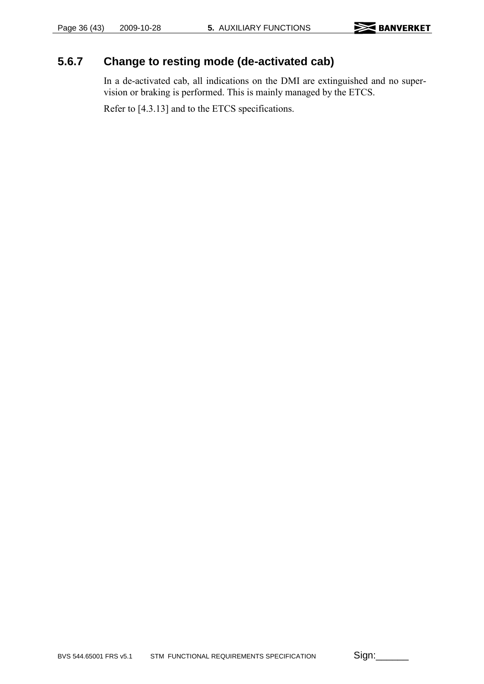# <span id="page-35-0"></span>**5.6.7 Change to resting mode (de-activated cab)**

In a de-activated cab, all indications on the DMI are extinguished and no supervision or braking is performed. This is mainly managed by the ETCS.

Refer to [4.3.13] and to the ETCS specifications.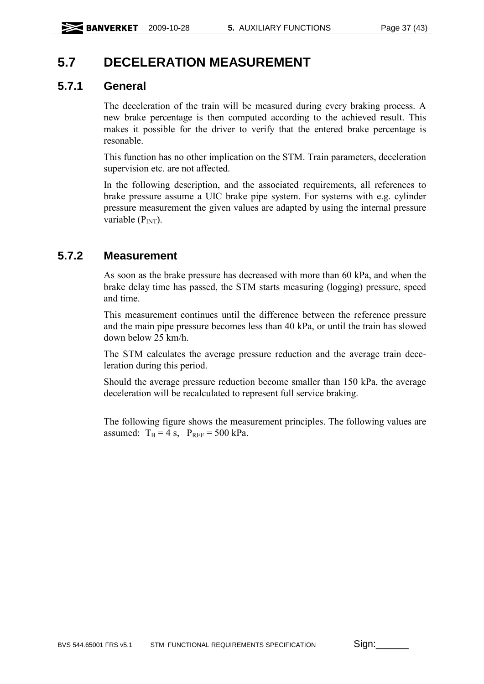# <span id="page-36-0"></span>**5.7 DECELERATION MEASUREMENT**

### <span id="page-36-1"></span>**5.7.1 General**

The deceleration of the train will be measured during every braking process. A new brake percentage is then computed according to the achieved result. This makes it possible for the driver to verify that the entered brake percentage is resonable.

This function has no other implication on the STM. Train parameters, deceleration supervision etc. are not affected.

In the following description, and the associated requirements, all references to brake pressure assume a UIC brake pipe system. For systems with e.g. cylinder pressure measurement the given values are adapted by using the internal pressure variable  $(P_{INT})$ .

### <span id="page-36-2"></span>**5.7.2 Measurement**

As soon as the brake pressure has decreased with more than 60 kPa, and when the brake delay time has passed, the STM starts measuring (logging) pressure, speed and time.

This measurement continues until the difference between the reference pressure and the main pipe pressure becomes less than 40 kPa, or until the train has slowed down below 25 km/h.

The STM calculates the average pressure reduction and the average train deceleration during this period.

Should the average pressure reduction become smaller than 150 kPa, the average deceleration will be recalculated to represent full service braking.

The following figure shows the measurement principles. The following values are assumed:  $T_B = 4$  s,  $P_{REF} = 500$  kPa.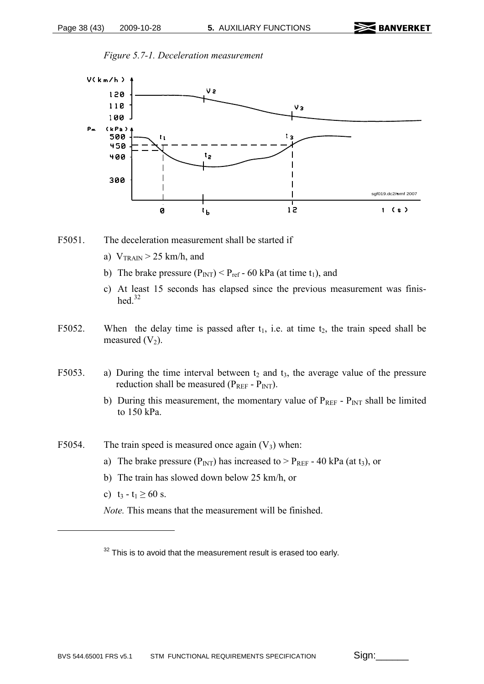<span id="page-37-0"></span>*Figure 5.7-1. Deceleration measurement*



F5051. The deceleration measurement shall be started if

- a)  $V_{\text{TRAIN}}$  > 25 km/h, and
- b) The brake pressure  $(P_{INT}) < P_{ref}$  60 kPa (at time t<sub>1</sub>), and
- c) At least 15 seconds has elapsed since the previous measurement was finished $32$
- F5052. When the delay time is passed after  $t_1$ , i.e. at time  $t_2$ , the train speed shall be measured  $(V_2)$ .
- F5053. a) During the time interval between  $t_2$  and  $t_3$ , the average value of the pressure reduction shall be measured ( $P_{REF}$  -  $P_{INT}$ ).
	- b) During this measurement, the momentary value of  $P_{REF}$   $P_{INT}$  shall be limited to 150 kPa.
- F5054. The train speed is measured once again  $(V_3)$  when:
	- a) The brake pressure ( $P_{INT}$ ) has increased to  $> P_{REF}$  40 kPa (at t<sub>3</sub>), or
	- b) The train has slowed down below 25 km/h, or
	- c)  $t_3 t_1 \ge 60$  s.

*Note.* This means that the measurement will be finished.

 $32$  This is to avoid that the measurement result is erased too early.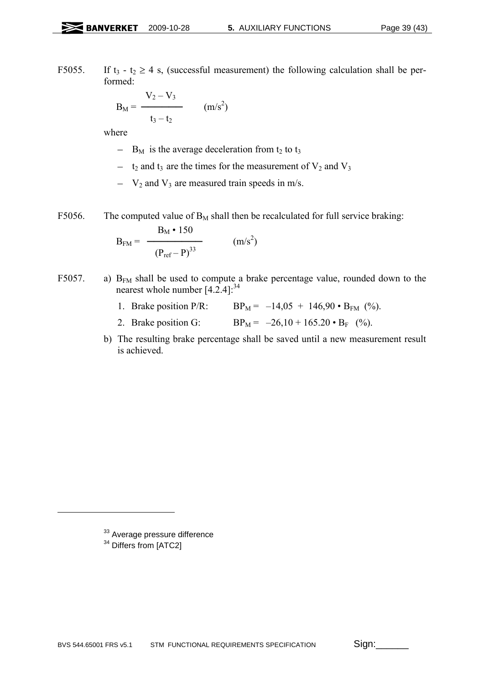F5055. If  $t_3 - t_2 \ge 4$  s, (successful measurement) the following calculation shall be performed:

$$
B_M = \frac{V_2 - V_3}{t_3 - t_2} \qquad (m/s^2)
$$

where

- $-$  B<sub>M</sub> is the average deceleration from t<sub>2</sub> to t<sub>3</sub>
- $t_2$  and  $t_3$  are the times for the measurement of  $V_2$  and  $V_3$
- $-V_2$  and  $V_3$  are measured train speeds in m/s.

F5056. The computed value of  $B_M$  shall then be recalculated for full service braking:

$$
B_{FM} = \frac{B_M \cdot 150}{(P_{ref} - P)^{33}} \qquad (m/s^2)
$$

- F5057. a) B<sub>FM</sub> shall be used to compute a brake percentage value, rounded down to the nearest whole number  $[4.2.4]$ :<sup>34</sup>
	- 1. Brake position P/R:  $BP_M = -14,05 + 146,90 \cdot B_{FM}$  (%).
	- 2. Brake position G:  $BP_M = -26,10 + 165.20 \cdot B_F$  (%).
	- b) The resulting brake percentage shall be saved until a new measurement result is achieved.

<sup>&</sup>lt;sup>33</sup> Average pressure difference

<sup>&</sup>lt;sup>34</sup> Differs from [ATC2]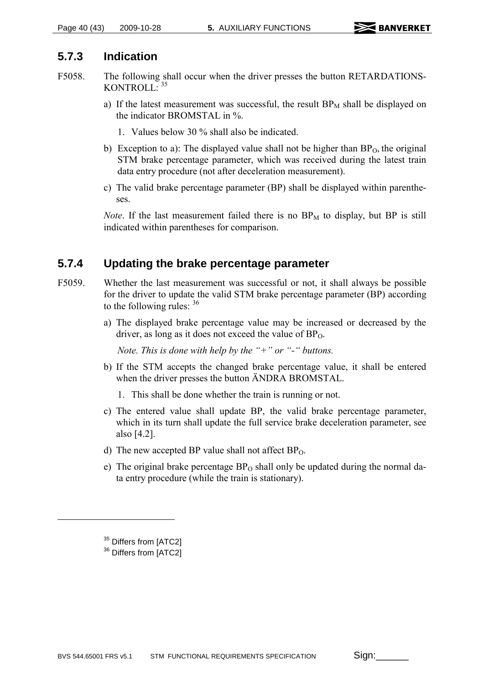#### <span id="page-39-0"></span>**5.7.3 Indication**

- F5058. The following shall occur when the driver presses the button RETARDATIONS-KONTROLL:  $35$ 
	- a) If the latest measurement was successful, the result  $BP<sub>M</sub>$  shall be displayed on the indicator BROMSTAL in %.
		- 1. Values below 30 % shall also be indicated.
	- b) Exception to a): The displayed value shall not be higher than  $BP<sub>O</sub>$ , the original STM brake percentage parameter, which was received during the latest train data entry procedure (not after deceleration measurement).
	- c) The valid brake percentage parameter (BP) shall be displayed within parentheses.

*Note*. If the last measurement failed there is no  $BP_M$  to display, but  $BP$  is still indicated within parentheses for comparison.

#### <span id="page-39-1"></span>**5.7.4 Updating the brake percentage parameter**

- F5059. Whether the last measurement was successful or not, it shall always be possible for the driver to update the valid STM brake percentage parameter (BP) according to the following rules:  $36$ 
	- a) The displayed brake percentage value may be increased or decreased by the driver, as long as it does not exceed the value of  $BP_0$ .

*Note. This is done with help by the "+" or "-" buttons.*

- b) If the STM accepts the changed brake percentage value, it shall be entered when the driver presses the button ÄNDRA BROMSTAL.
	- 1. This shall be done whether the train is running or not.
- c) The entered value shall update BP, the valid brake percentage parameter, which in its turn shall update the full service brake deceleration parameter, see also [4.2].
- d) The new accepted BP value shall not affect  $BP<sub>O</sub>$ .
- e) The original brake percentage  $BP<sub>O</sub>$  shall only be updated during the normal data entry procedure (while the train is stationary).

<sup>&</sup>lt;sup>35</sup> Differs from [ATC2]

<sup>&</sup>lt;sup>36</sup> Differs from [ATC2]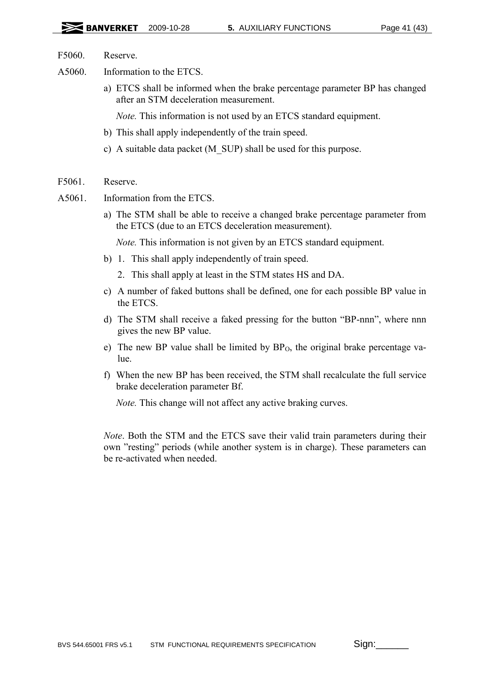- F5060. Reserve.
- A5060. Information to the ETCS.
	- a) ETCS shall be informed when the brake percentage parameter BP has changed after an STM deceleration measurement.

*Note.* This information is not used by an ETCS standard equipment.

- b) This shall apply independently of the train speed.
- c) A suitable data packet (M\_SUP) shall be used for this purpose.
- F5061. Reserve.
- A5061. Information from the ETCS.
	- a) The STM shall be able to receive a changed brake percentage parameter from the ETCS (due to an ETCS deceleration measurement).

*Note.* This information is not given by an ETCS standard equipment.

- b) 1. This shall apply independently of train speed.
	- 2. This shall apply at least in the STM states HS and DA.
- c) A number of faked buttons shall be defined, one for each possible BP value in the ETCS.
- d) The STM shall receive a faked pressing for the button "BP-nnn", where nnn gives the new BP value.
- e) The new BP value shall be limited by  $BP_0$ , the original brake percentage value.
- f) When the new BP has been received, the STM shall recalculate the full service brake deceleration parameter Bf.

*Note.* This change will not affect any active braking curves.

*Note*. Both the STM and the ETCS save their valid train parameters during their own "resting" periods (while another system is in charge). These parameters can be re-activated when needed.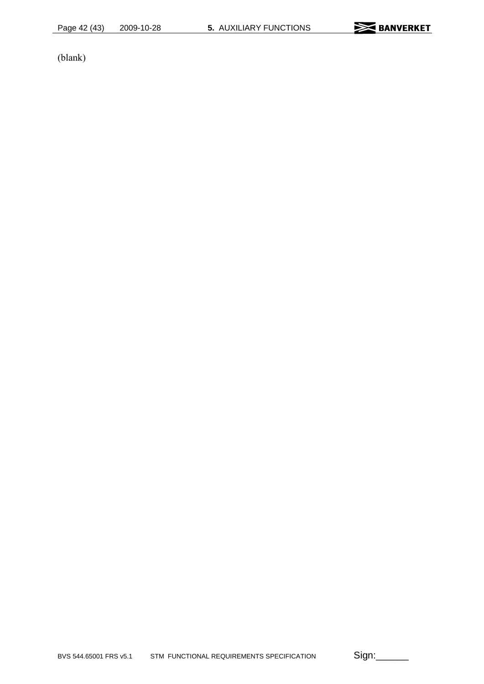

(blank)